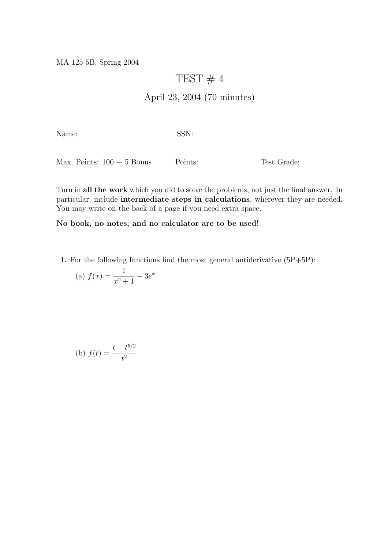MA 125-5B, Spring 2004

## TEST  $# 4$

## April 23, 2004 (70 minutes)

Name: SSN:

Max. Points:  $100 + 5$  Bonus Points: Test Grade:

Turn in all the work which you did to solve the problems, not just the final answer. In particular, include intermediate steps in calculations, wherever they are needed. You may write on the back of a page if you need extra space.

## No book, no notes, and no calculator are to be used!

1. For the following functions find the most general antiderivative  $(5P+5P)$ :

(a) 
$$
f(x) = \frac{1}{x^2 + 1} - 3e^x
$$

(b) 
$$
f(t) = \frac{t - t^{5/2}}{t^2}
$$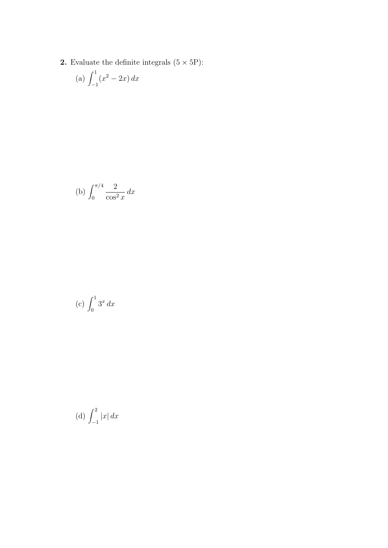2. Evaluate the definite integrals  $(5 \times 5P)$ :

(a) 
$$
\int_{-1}^{1} (x^2 - 2x) dx
$$

(b) 
$$
\int_0^{\pi/4} \frac{2}{\cos^2 x} \, dx
$$

$$
(c) \int_0^1 3^x \, dx
$$

(d) 
$$
\int_{-1}^{2} |x| dx
$$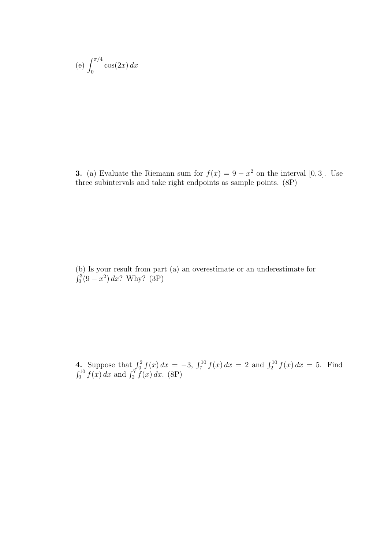(e) 
$$
\int_0^{\pi/4} \cos(2x) \, dx
$$

**3.** (a) Evaluate the Riemann sum for  $f(x) = 9 - x^2$  on the interval [0,3]. Use three subintervals and take right endpoints as sample points. (8P)

(b) Is your result from part (a) an overestimate or an underestimate for  $\binom{3}{0}$   $\binom{2}{0}$   $\binom{3}{10}$  $v_0^3(9-x^2) dx$ ? Why? (3P)

4. Suppose that  $\int_0^2 f(x) dx = -3$ ,  $\int_7^{10} f(x) dx = 2$  and  $\int_2^{10} f(x) dx = 5$ . Find  $\int_0^{10} f(x) dx$  and  $\int_2^7 f(x) dx$ . (8P)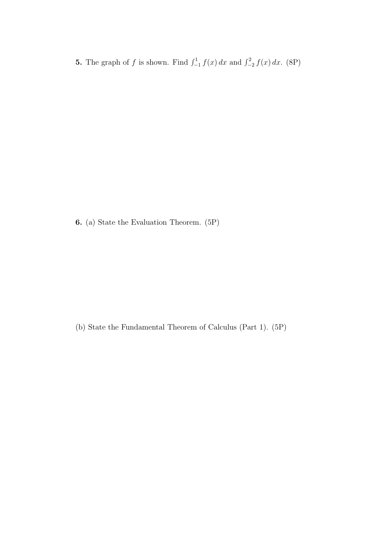**5.** The graph of f is shown. Find  $\int_{-1}^{1} f(x) dx$  and  $\int_{-2}^{2} f(x) dx$ . (8P)

6. (a) State the Evaluation Theorem. (5P)

(b) State the Fundamental Theorem of Calculus (Part 1). (5P)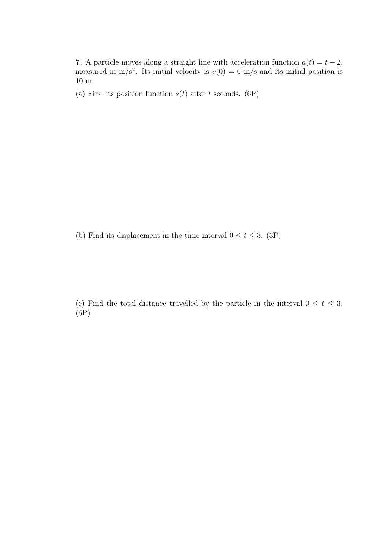7. A particle moves along a straight line with acceleration function  $a(t) = t - 2$ , measured in m/s<sup>2</sup>. Its initial velocity is  $v(0) = 0$  m/s and its initial position is 10 m.

(a) Find its position function  $s(t)$  after t seconds. (6P)

(b) Find its displacement in the time interval  $0 \le t \le 3$ . (3P)

(c) Find the total distance travelled by the particle in the interval  $0 \le t \le 3$ . (6P)